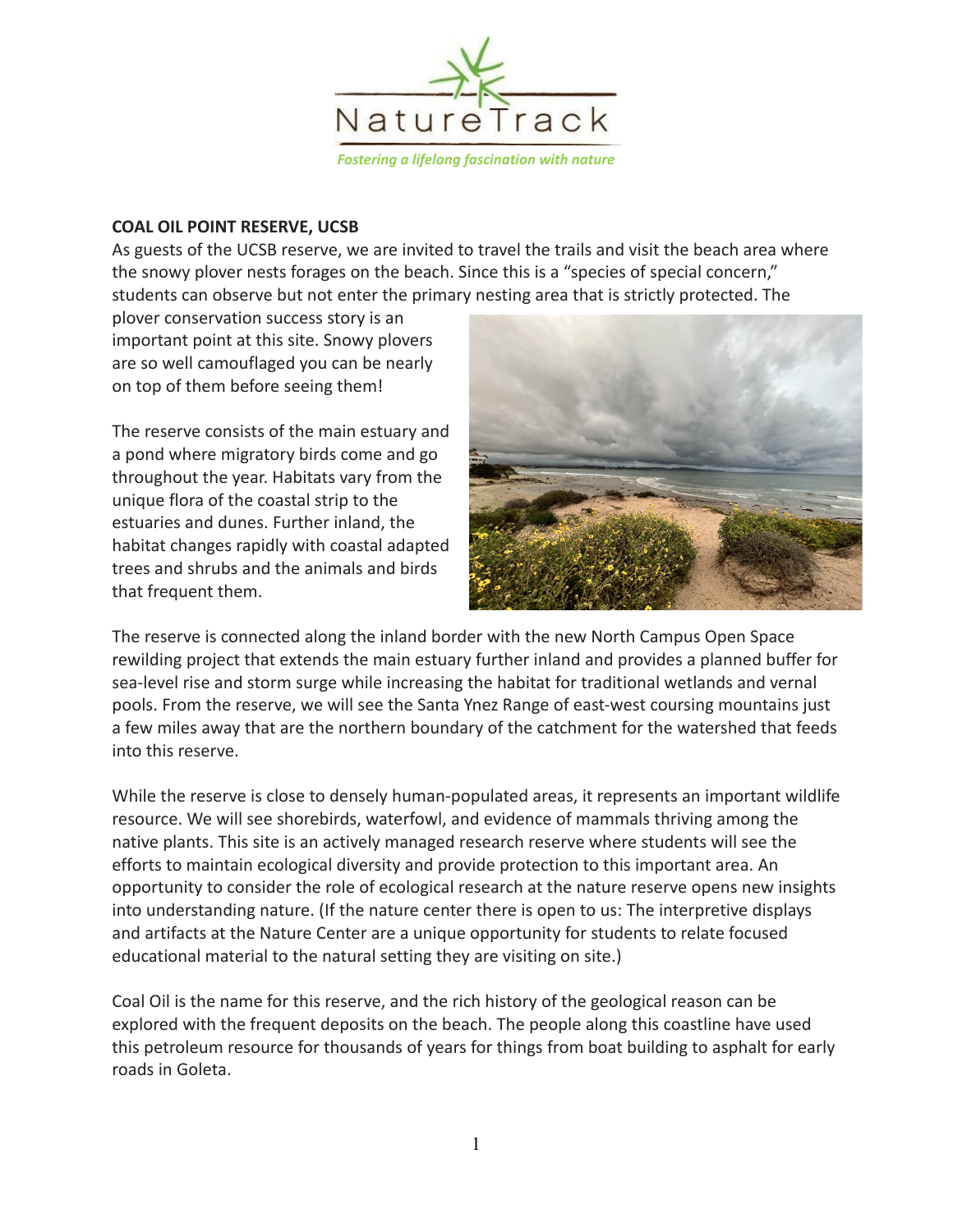

#### **COAL OIL POINT RESERVE, UCSB**

As guests of the UCSB reserve, we are invited to travel the trails and visit the beach area where the snowy plover nests forages on the beach. Since this is a "species of special concern," students can observe but not enter the primary nesting area that is strictly protected. The

plover conservation success story is an important point at this site. Snowy plovers are so well camouflaged you can be nearly on top of them before seeing them!

The reserve consists of the main estuary and a pond where migratory birds come and go throughout the year. Habitats vary from the unique flora of the coastal strip to the estuaries and dunes. Further inland, the habitat changes rapidly with coastal adapted trees and shrubs and the animals and birds that frequent them.



The reserve is connected along the inland border with the new North Campus Open Space rewilding project that extends the main estuary further inland and provides a planned buffer for sea-level rise and storm surge while increasing the habitat for traditional wetlands and vernal pools. From the reserve, we will see the Santa Ynez Range of east-west coursing mountains just a few miles away that are the northern boundary of the catchment for the watershed that feeds into this reserve.

While the reserve is close to densely human-populated areas, it represents an important wildlife resource. We will see shorebirds, waterfowl, and evidence of mammals thriving among the native plants. This site is an actively managed research reserve where students will see the efforts to maintain ecological diversity and provide protection to this important area. An opportunity to consider the role of ecological research at the nature reserve opens new insights into understanding nature. (If the nature center there is open to us: The interpretive displays and artifacts at the Nature Center are a unique opportunity for students to relate focused educational material to the natural setting they are visiting on site.)

Coal Oil is the name for this reserve, and the rich history of the geological reason can be explored with the frequent deposits on the beach. The people along this coastline have used this petroleum resource for thousands of years for things from boat building to asphalt for early roads in Goleta.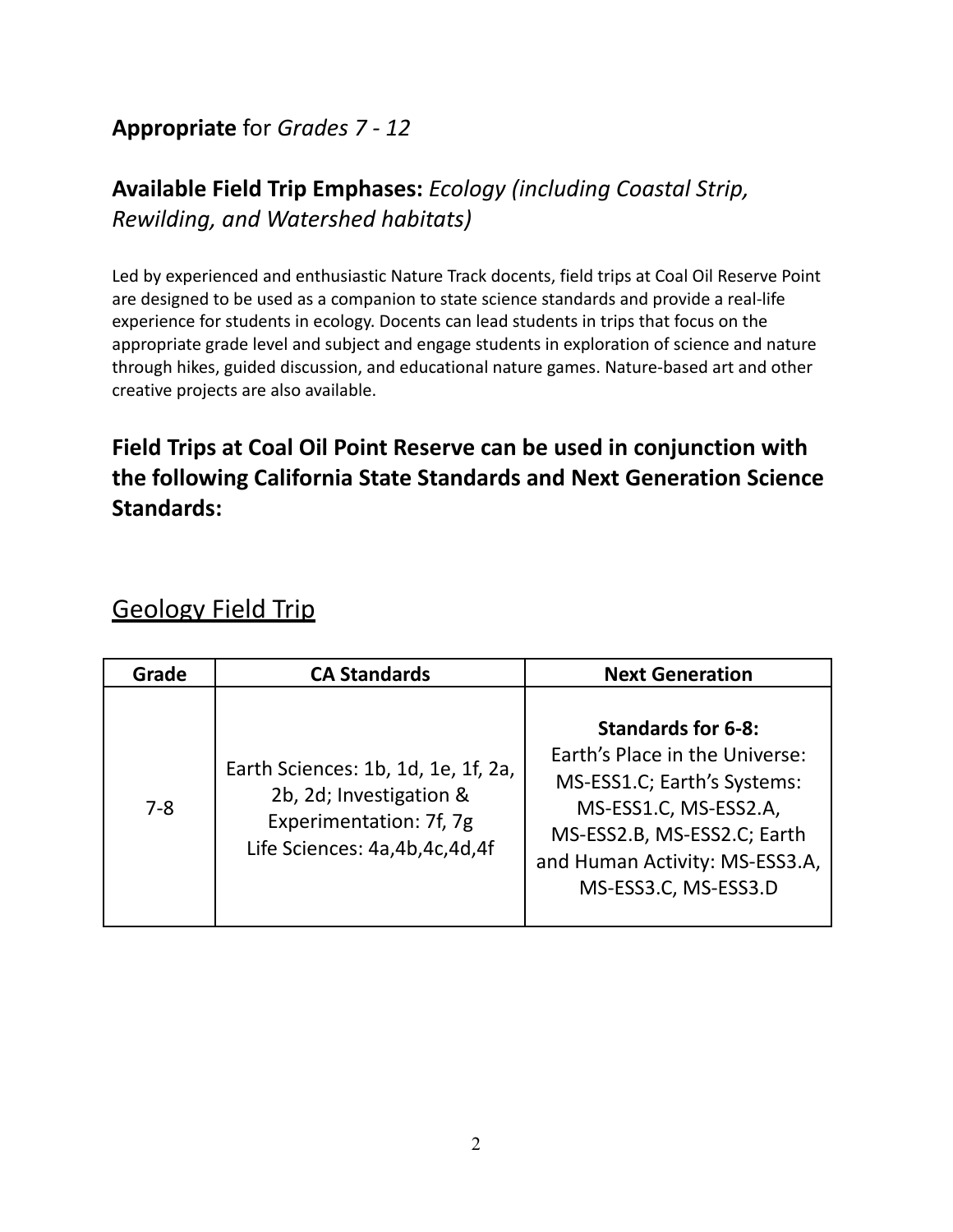#### **Appropriate** for *Grades 7 - 12*

### **Available Field Trip Emphases:** *Ecology (including Coastal Strip, Rewilding, and Watershed habitats)*

Led by experienced and enthusiastic Nature Track docents, field trips at Coal Oil Reserve Point are designed to be used as a companion to state science standards and provide a real-life experience for students in ecology. Docents can lead students in trips that focus on the appropriate grade level and subject and engage students in exploration of science and nature through hikes, guided discussion, and educational nature games. Nature-based art and other creative projects are also available.

### **Field Trips at Coal Oil Point Reserve can be used in conjunction with the following California State Standards and Next Generation Science Standards:**

## Geology Field Trip

| Grade   | <b>CA Standards</b>                                                                                                        | <b>Next Generation</b>                                                                                                                                                                                       |
|---------|----------------------------------------------------------------------------------------------------------------------------|--------------------------------------------------------------------------------------------------------------------------------------------------------------------------------------------------------------|
| $7 - 8$ | Earth Sciences: 1b, 1d, 1e, 1f, 2a,<br>2b, 2d; Investigation &<br>Experimentation: 7f, 7g<br>Life Sciences: 4a,4b,4c,4d,4f | <b>Standards for 6-8:</b><br>Earth's Place in the Universe:<br>MS-ESS1.C; Earth's Systems:<br>MS-ESS1.C, MS-ESS2.A,<br>MS-ESS2.B, MS-ESS2.C; Earth<br>and Human Activity: MS-ESS3.A,<br>MS-ESS3.C, MS-ESS3.D |